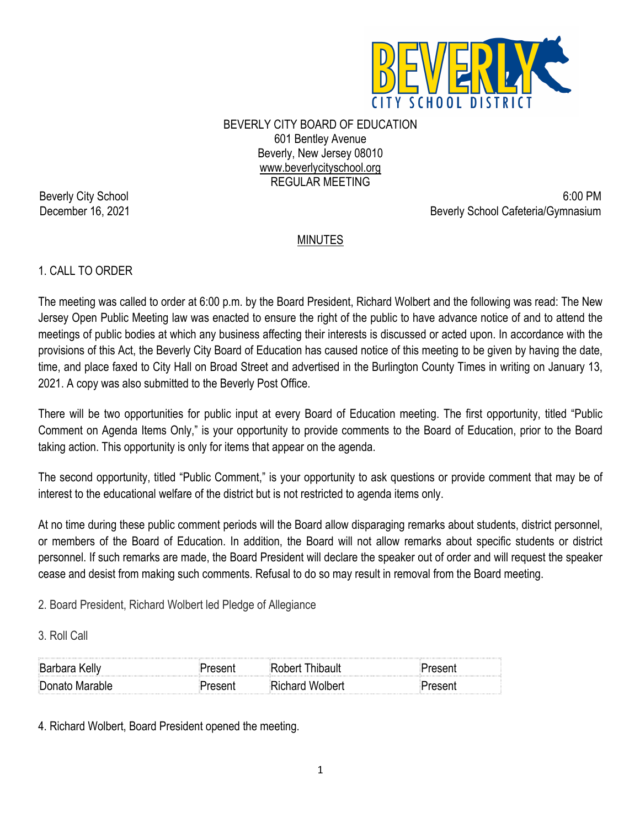

BEVERLY CITY BOARD OF EDUCATION 601 Bentley Avenue Beverly, New Jersey 08010 www.beverlycityschool.org REGULAR MEETING

Beverly City School 6:00 PM December 16, 2021 **Beverly School Cafeteria/Gymnasium** 

# MINUTES

## 1. CALL TO ORDER

The meeting was called to order at 6:00 p.m. by the Board President, Richard Wolbert and the following was read: The New Jersey Open Public Meeting law was enacted to ensure the right of the public to have advance notice of and to attend the meetings of public bodies at which any business affecting their interests is discussed or acted upon. In accordance with the provisions of this Act, the Beverly City Board of Education has caused notice of this meeting to be given by having the date, time, and place faxed to City Hall on Broad Street and advertised in the Burlington County Times in writing on January 13, 2021. A copy was also submitted to the Beverly Post Office.

There will be two opportunities for public input at every Board of Education meeting. The first opportunity, titled "Public Comment on Agenda Items Only," is your opportunity to provide comments to the Board of Education, prior to the Board taking action. This opportunity is only for items that appear on the agenda.

The second opportunity, titled "Public Comment," is your opportunity to ask questions or provide comment that may be of interest to the educational welfare of the district but is not restricted to agenda items only.

At no time during these public comment periods will the Board allow disparaging remarks about students, district personnel, or members of the Board of Education. In addition, the Board will not allow remarks about specific students or district personnel. If such remarks are made, the Board President will declare the speaker out of order and will request the speaker cease and desist from making such comments. Refusal to do so may result in removal from the Board meeting.

2. Board President, Richard Wolbert led Pledge of Allegiance

3. Roll Call

| <b>Barbara Kelly</b> |                 |  |
|----------------------|-----------------|--|
| Donato Marable       | Richard Wolbert |  |

4. Richard Wolbert, Board President opened the meeting.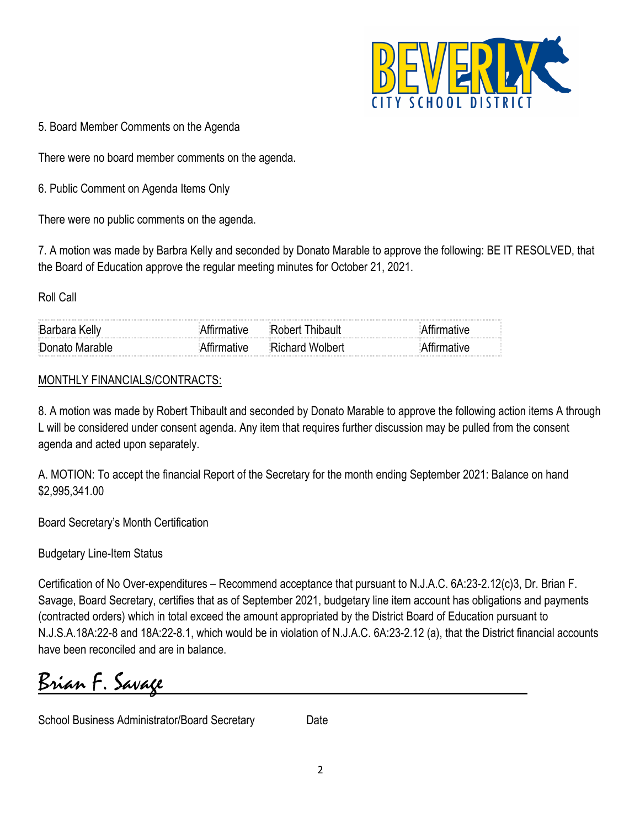

5. Board Member Comments on the Agenda

There were no board member comments on the agenda.

6. Public Comment on Agenda Items Only

There were no public comments on the agenda.

7. A motion was made by Barbra Kelly and seconded by Donato Marable to approve the following: BE IT RESOLVED, that the Board of Education approve the regular meeting minutes for October 21, 2021.

Roll Call

| Donato Marable       | <b>Richard Wolbert</b> |  |
|----------------------|------------------------|--|
| <b>Barbara Kelly</b> | Robert Thibault        |  |

#### MONTHLY FINANCIALS/CONTRACTS:

8. A motion was made by Robert Thibault and seconded by Donato Marable to approve the following action items A through L will be considered under consent agenda. Any item that requires further discussion may be pulled from the consent agenda and acted upon separately.

A. MOTION: To accept the financial Report of the Secretary for the month ending September 2021: Balance on hand \$2,995,341.00

Board Secretary's Month Certification

Budgetary Line-Item Status

Certification of No Over-expenditures – Recommend acceptance that pursuant to N.J.A.C. 6A:23-2.12(c)3, Dr. Brian F. Savage, Board Secretary, certifies that as of September 2021, budgetary line item account has obligations and payments (contracted orders) which in total exceed the amount appropriated by the District Board of Education pursuant to N.J.S.A.18A:22-8 and 18A:22-8.1, which would be in violation of N.J.A.C. 6A:23-2.12 (a), that the District financial accounts have been reconciled and are in balance.

Brian F. Savage

School Business Administrator/Board Secretary Date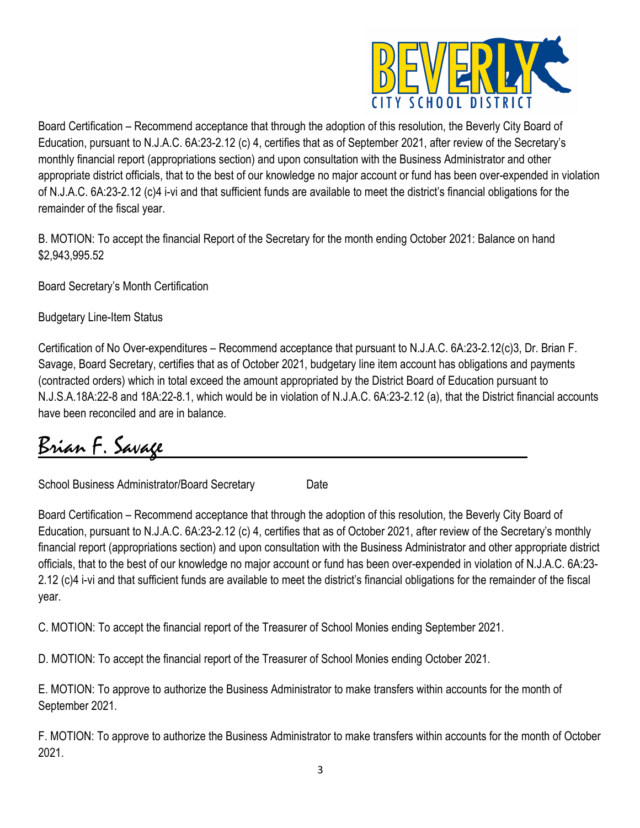

Board Certification – Recommend acceptance that through the adoption of this resolution, the Beverly City Board of Education, pursuant to N.J.A.C. 6A:23-2.12 (c) 4, certifies that as of September 2021, after review of the Secretary's monthly financial report (appropriations section) and upon consultation with the Business Administrator and other appropriate district officials, that to the best of our knowledge no major account or fund has been over-expended in violation of N.J.A.C. 6A:23-2.12 (c)4 i-vi and that sufficient funds are available to meet the district's financial obligations for the remainder of the fiscal year.

B. MOTION: To accept the financial Report of the Secretary for the month ending October 2021: Balance on hand \$2,943,995.52

Board Secretary's Month Certification

Budgetary Line-Item Status

Certification of No Over-expenditures – Recommend acceptance that pursuant to N.J.A.C. 6A:23-2.12(c)3, Dr. Brian F. Savage, Board Secretary, certifies that as of October 2021, budgetary line item account has obligations and payments (contracted orders) which in total exceed the amount appropriated by the District Board of Education pursuant to N.J.S.A.18A:22-8 and 18A:22-8.1, which would be in violation of N.J.A.C. 6A:23-2.12 (a), that the District financial accounts have been reconciled and are in balance.

Brian F. Savage

School Business Administrator/Board Secretary Date

Board Certification – Recommend acceptance that through the adoption of this resolution, the Beverly City Board of Education, pursuant to N.J.A.C. 6A:23-2.12 (c) 4, certifies that as of October 2021, after review of the Secretary's monthly financial report (appropriations section) and upon consultation with the Business Administrator and other appropriate district officials, that to the best of our knowledge no major account or fund has been over-expended in violation of N.J.A.C. 6A:23- 2.12 (c)4 i-vi and that sufficient funds are available to meet the district's financial obligations for the remainder of the fiscal year.

C. MOTION: To accept the financial report of the Treasurer of School Monies ending September 2021.

D. MOTION: To accept the financial report of the Treasurer of School Monies ending October 2021.

E. MOTION: To approve to authorize the Business Administrator to make transfers within accounts for the month of September 2021.

F. MOTION: To approve to authorize the Business Administrator to make transfers within accounts for the month of October 2021.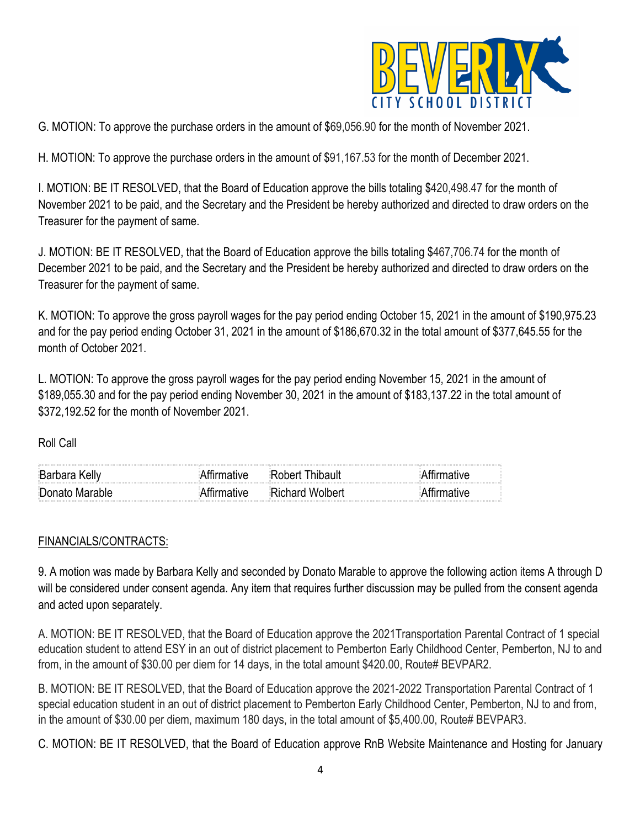

G. MOTION: To approve the purchase orders in the amount of \$69,056.90 for the month of November 2021.

H. MOTION: To approve the purchase orders in the amount of \$91,167.53 for the month of December 2021.

I. MOTION: BE IT RESOLVED, that the Board of Education approve the bills totaling \$420,498.47 for the month of November 2021 to be paid, and the Secretary and the President be hereby authorized and directed to draw orders on the Treasurer for the payment of same.

J. MOTION: BE IT RESOLVED, that the Board of Education approve the bills totaling \$467,706.74 for the month of December 2021 to be paid, and the Secretary and the President be hereby authorized and directed to draw orders on the Treasurer for the payment of same.

K. MOTION: To approve the gross payroll wages for the pay period ending October 15, 2021 in the amount of \$190,975.23 and for the pay period ending October 31, 2021 in the amount of \$186,670.32 in the total amount of \$377,645.55 for the month of October 2021.

L. MOTION: To approve the gross payroll wages for the pay period ending November 15, 2021 in the amount of \$189,055.30 and for the pay period ending November 30, 2021 in the amount of \$183,137.22 in the total amount of \$372,192.52 for the month of November 2021.

Roll Call

| $\mathcal{L}(\mathcal{L})$ . The contract of the contract of the contract of the contract of the contract of the contract of the contract of the contract of the contract of the contract of the contract of the contract of the contract<br><b>Barbara Kelly</b> |                 |  |
|-------------------------------------------------------------------------------------------------------------------------------------------------------------------------------------------------------------------------------------------------------------------|-----------------|--|
| Donato Marable                                                                                                                                                                                                                                                    | ≀ichard Wolbert |  |
|                                                                                                                                                                                                                                                                   |                 |  |

### FINANCIALS/CONTRACTS:

9. A motion was made by Barbara Kelly and seconded by Donato Marable to approve the following action items A through D will be considered under consent agenda. Any item that requires further discussion may be pulled from the consent agenda and acted upon separately.

A. MOTION: BE IT RESOLVED, that the Board of Education approve the 2021Transportation Parental Contract of 1 special education student to attend ESY in an out of district placement to Pemberton Early Childhood Center, Pemberton, NJ to and from, in the amount of \$30.00 per diem for 14 days, in the total amount \$420.00, Route# BEVPAR2.

B. MOTION: BE IT RESOLVED, that the Board of Education approve the 2021-2022 Transportation Parental Contract of 1 special education student in an out of district placement to Pemberton Early Childhood Center, Pemberton, NJ to and from, in the amount of \$30.00 per diem, maximum 180 days, in the total amount of \$5,400.00, Route# BEVPAR3.

C. MOTION: BE IT RESOLVED, that the Board of Education approve RnB Website Maintenance and Hosting for January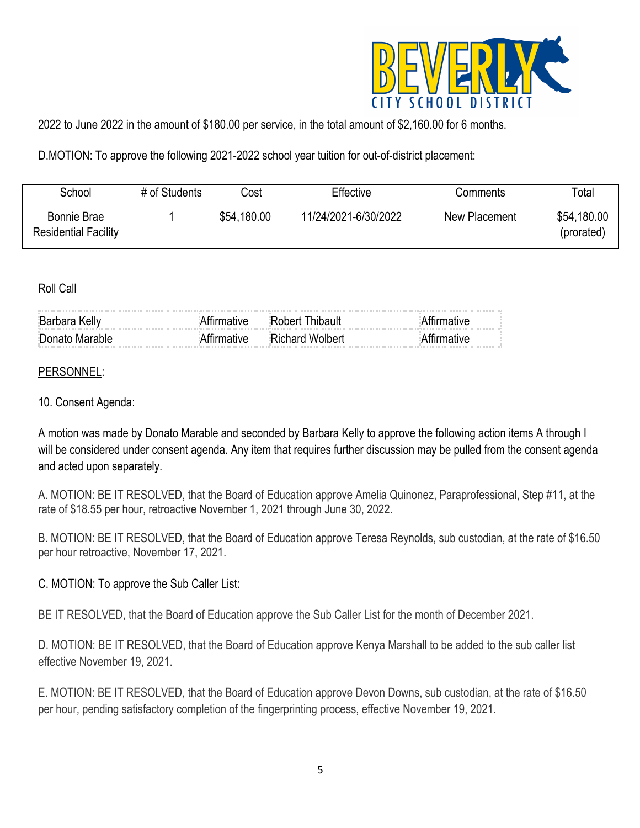

2022 to June 2022 in the amount of \$180.00 per service, in the total amount of \$2,160.00 for 6 months.

D.MOTION: To approve the following 2021-2022 school year tuition for out-of-district placement:

| School                                     | # of Students | Cost        | Effective            | Comments      | Total                     |
|--------------------------------------------|---------------|-------------|----------------------|---------------|---------------------------|
| Bonnie Brae<br><b>Residential Facility</b> |               | \$54,180.00 | 11/24/2021-6/30/2022 | New Placement | \$54,180.00<br>(prorated) |

#### Roll Call

| <b>Barbara Kelly</b><br>,我们的是我们的,我们的是我们的,我们的是我们的,我们的是我们的,我们的是我们的,我们的是我们的,我们的是我们的,我们的是我们的,我们的是我们的,我们的是我们的 | $\sim$ 100 $\sim$ 100 $\sim$ 100 $\sim$ 100 $\sim$ 100 $\sim$ 100 $\sim$ 100 $\sim$ 100 $\sim$ 100 $\sim$ 100 $\sim$ 100 $\sim$ 100 $\sim$ 100 $\sim$ 100 $\sim$ 100 $\sim$ 100 $\sim$ 100 $\sim$ 100 $\sim$ 100 $\sim$ 100 $\sim$ 100 $\sim$ 100 $\sim$ 100 $\sim$ 100 $\sim$<br>inhert I |  |
|----------------------------------------------------------------------------------------------------------|--------------------------------------------------------------------------------------------------------------------------------------------------------------------------------------------------------------------------------------------------------------------------------------------|--|
| Donato Marable                                                                                           | <b>Richard Wolbert</b>                                                                                                                                                                                                                                                                     |  |

## PERSONNEL:

### 10. Consent Agenda:

A motion was made by Donato Marable and seconded by Barbara Kelly to approve the following action items A through I will be considered under consent agenda. Any item that requires further discussion may be pulled from the consent agenda and acted upon separately.

A. MOTION: BE IT RESOLVED, that the Board of Education approve Amelia Quinonez, Paraprofessional, Step #11, at the rate of \$18.55 per hour, retroactive November 1, 2021 through June 30, 2022.

B. MOTION: BE IT RESOLVED, that the Board of Education approve Teresa Reynolds, sub custodian, at the rate of \$16.50 per hour retroactive, November 17, 2021.

### C. MOTION: To approve the Sub Caller List:

BE IT RESOLVED, that the Board of Education approve the Sub Caller List for the month of December 2021.

D. MOTION: BE IT RESOLVED, that the Board of Education approve Kenya Marshall to be added to the sub caller list effective November 19, 2021.

E. MOTION: BE IT RESOLVED, that the Board of Education approve Devon Downs, sub custodian, at the rate of \$16.50 per hour, pending satisfactory completion of the fingerprinting process, effective November 19, 2021.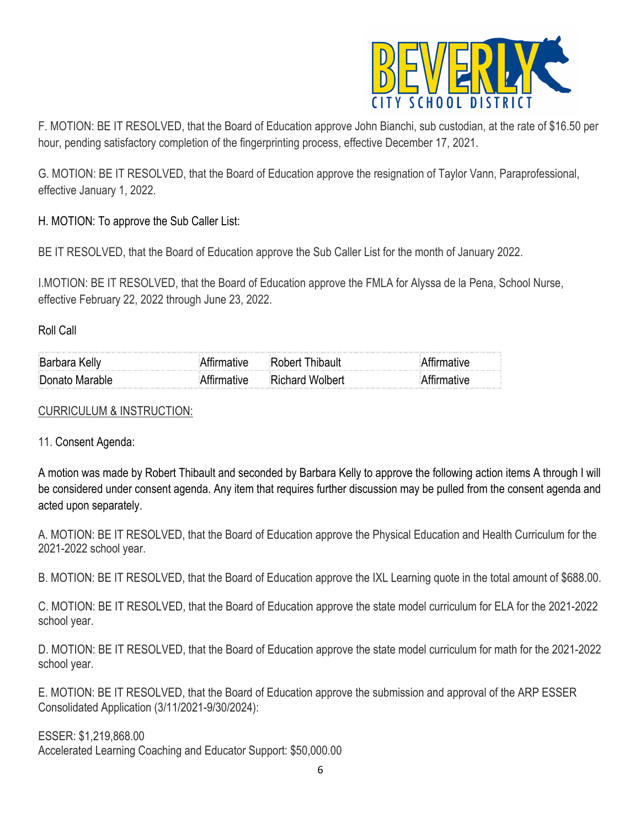

F. MOTION: BE IT RESOLVED, that the Board of Education approve John Bianchi, sub custodian, at the rate of \$16.50 per hour, pending satisfactory completion of the fingerprinting process, effective December 17, 2021.

G. MOTION: BE IT RESOLVED, that the Board of Education approve the resignation of Taylor Vann, Paraprofessional, effective January 1, 2022.

H. MOTION: To approve the Sub Caller List:

BE IT RESOLVED, that the Board of Education approve the Sub Caller List for the month of January 2022.

I.MOTION: BE IT RESOLVED, that the Board of Education approve the FMLA for Alyssa de la Pena, School Nurse, effective February 22, 2022 through June 23, 2022.

Roll Call

| :Rarhara        |                        |  |
|-----------------|------------------------|--|
| ∄Donato Marable | <b>Richard Wolbert</b> |  |

### CURRICULUM & INSTRUCTION:

11. Consent Agenda:

A motion was made by Robert Thibault and seconded by Barbara Kelly to approve the following action items A through I will be considered under consent agenda. Any item that requires further discussion may be pulled from the consent agenda and acted upon separately.

A. MOTION: BE IT RESOLVED, that the Board of Education approve the Physical Education and Health Curriculum for the 2021-2022 school year.

B. MOTION: BE IT RESOLVED, that the Board of Education approve the IXL Learning quote in the total amount of \$688.00.

C. MOTION: BE IT RESOLVED, that the Board of Education approve the state model curriculum for ELA for the 2021-2022 school year.

D. MOTION: BE IT RESOLVED, that the Board of Education approve the state model curriculum for math for the 2021-2022 school year.

E. MOTION: BE IT RESOLVED, that the Board of Education approve the submission and approval of the ARP ESSER Consolidated Application (3/11/2021-9/30/2024):

ESSER: \$1,219,868.00 Accelerated Learning Coaching and Educator Support: \$50,000.00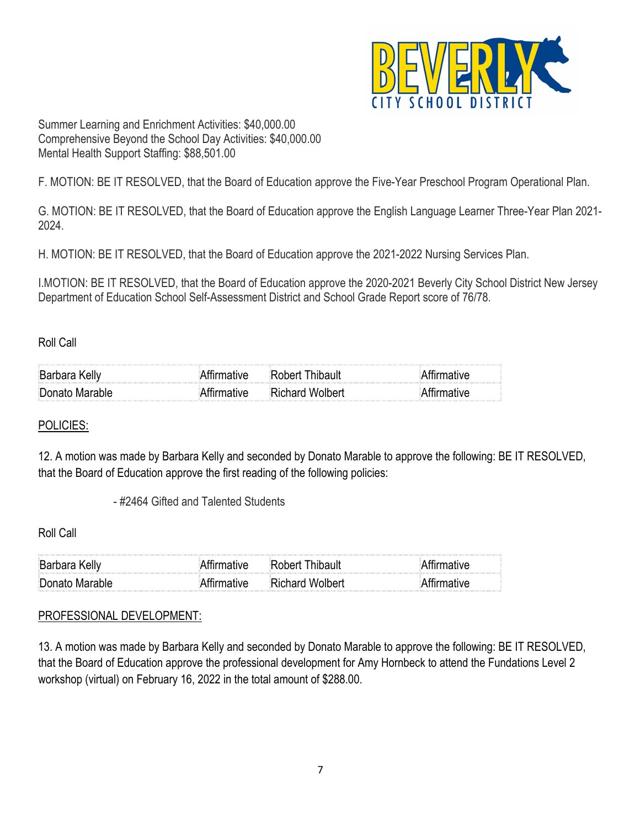

Summer Learning and Enrichment Activities: \$40,000.00 Comprehensive Beyond the School Day Activities: \$40,000.00 Mental Health Support Staffing: \$88,501.00

F. MOTION: BE IT RESOLVED, that the Board of Education approve the Five-Year Preschool Program Operational Plan.

G. MOTION: BE IT RESOLVED, that the Board of Education approve the English Language Learner Three-Year Plan 2021- 2024.

H. MOTION: BE IT RESOLVED, that the Board of Education approve the 2021-2022 Nursing Services Plan.

I.MOTION: BE IT RESOLVED, that the Board of Education approve the 2020-2021 Beverly City School District New Jersey Department of Education School Self-Assessment District and School Grade Report score of 76/78.

Roll Call

| :Barn          |                                                                                                                                    |  |
|----------------|------------------------------------------------------------------------------------------------------------------------------------|--|
| Donato Marable | the contract of the contract of the contract of the contract of the contract of the contract of the contract of<br>Richard Wolbert |  |

## POLICIES:

12. A motion was made by Barbara Kelly and seconded by Donato Marable to approve the following: BE IT RESOLVED, that the Board of Education approve the first reading of the following policies:

- #2464 Gifted and Talented Students

Roll Call

| ∃Barhara Keliv | $\sim$ 100 $\mu$ . The set of the set of the set of the set of the set of the set of the set of the set of the set of the set of the set of the set of the set of the set of the set of the set of the set of the set of the set |  |
|----------------|----------------------------------------------------------------------------------------------------------------------------------------------------------------------------------------------------------------------------------|--|
| Donato Marable | ∵ohard Wolbert                                                                                                                                                                                                                   |  |

## PROFESSIONAL DEVELOPMENT:

13. A motion was made by Barbara Kelly and seconded by Donato Marable to approve the following: BE IT RESOLVED, that the Board of Education approve the professional development for Amy Hornbeck to attend the Fundations Level 2 workshop (virtual) on February 16, 2022 in the total amount of \$288.00.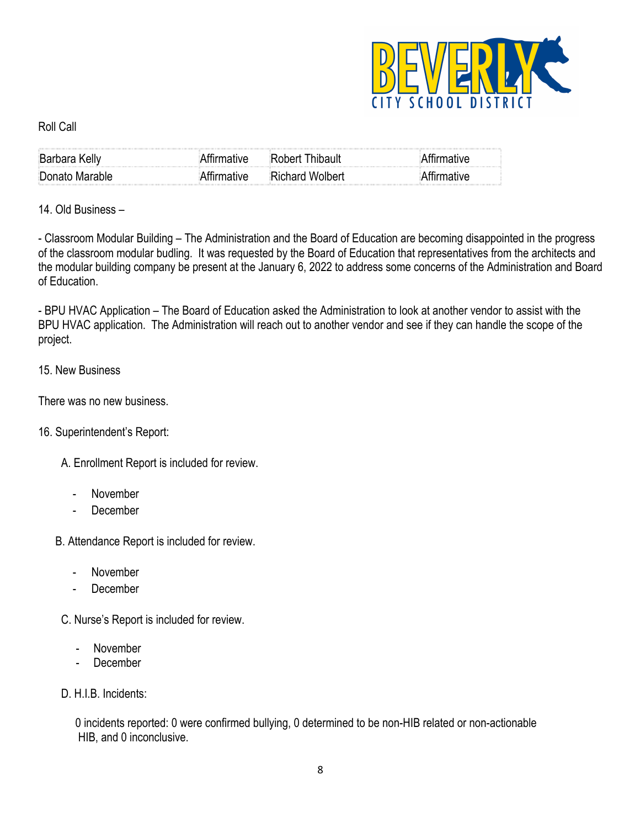

### Roll Call

| <b>Barbara Kelly</b> | ™ative™ | Thibault<br>:Rohert I  |  |
|----------------------|---------|------------------------|--|
| Donato Marable       |         | <b>Richard Wolbert</b> |  |

14. Old Business –

- Classroom Modular Building – The Administration and the Board of Education are becoming disappointed in the progress of the classroom modular budling. It was requested by the Board of Education that representatives from the architects and the modular building company be present at the January 6, 2022 to address some concerns of the Administration and Board of Education.

- BPU HVAC Application – The Board of Education asked the Administration to look at another vendor to assist with the BPU HVAC application. The Administration will reach out to another vendor and see if they can handle the scope of the project.

## 15. New Business

There was no new business.

### 16. Superintendent's Report:

- A. Enrollment Report is included for review.
	- November
	- December
- B. Attendance Report is included for review.
	- November
	- December
	- C. Nurse's Report is included for review.
		- November
		- **December**
- D. H.I.B. Incidents:

 0 incidents reported: 0 were confirmed bullying, 0 determined to be non-HIB related or non-actionable HIB, and 0 inconclusive.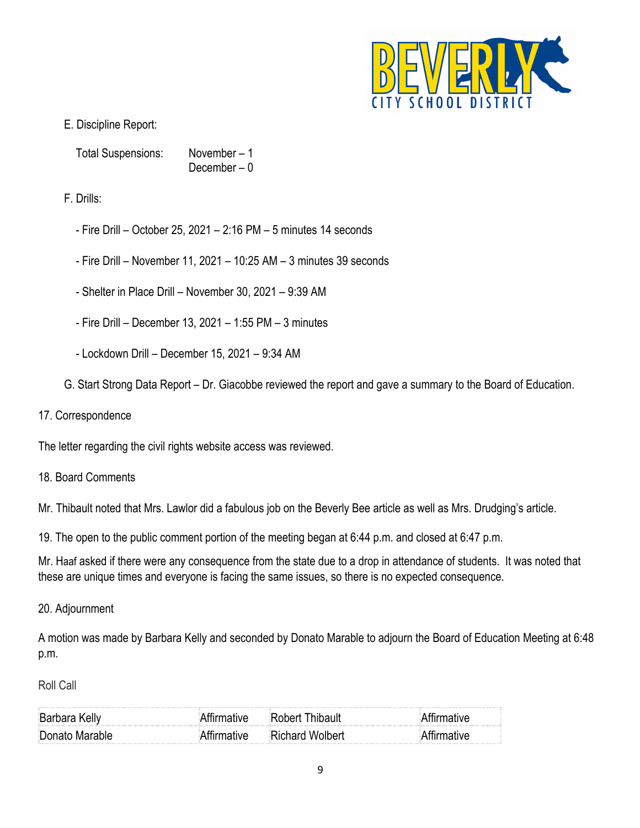

# E. Discipline Report:

Total Suspensions: November – 1 December – 0

F. Drills:

- Fire Drill October 25, 2021 2:16 PM 5 minutes 14 seconds
- Fire Drill November 11, 2021 10:25 AM 3 minutes 39 seconds
- Shelter in Place Drill November 30, 2021 9:39 AM
- Fire Drill December 13, 2021 1:55 PM 3 minutes
- Lockdown Drill December 15, 2021 9:34 AM
- G. Start Strong Data Report Dr. Giacobbe reviewed the report and gave a summary to the Board of Education.
- 17. Correspondence

The letter regarding the civil rights website access was reviewed.

18. Board Comments

Mr. Thibault noted that Mrs. Lawlor did a fabulous job on the Beverly Bee article as well as Mrs. Drudging's article.

19. The open to the public comment portion of the meeting began at 6:44 p.m. and closed at 6:47 p.m.

Mr. Haaf asked if there were any consequence from the state due to a drop in attendance of students. It was noted that these are unique times and everyone is facing the same issues, so there is no expected consequence.

### 20. Adjournment

A motion was made by Barbara Kelly and seconded by Donato Marable to adjourn the Board of Education Meeting at 6:48 p.m.

Roll Call

| Barbara Kelly  |                 |  |
|----------------|-----------------|--|
| Donato Marable | Richard Wolbert |  |